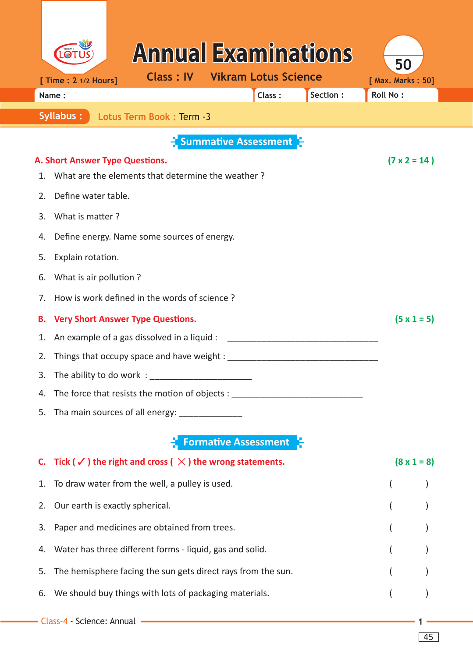|    |                                                                            | <b>Annual Examinations</b>                             |                             |                             |          | 50                  |  |  |
|----|----------------------------------------------------------------------------|--------------------------------------------------------|-----------------------------|-----------------------------|----------|---------------------|--|--|
|    | [ Time : 2 1/2 Hours]                                                      | <b>Class: IV</b>                                       |                             | <b>Vikram Lotus Science</b> |          | [ Max. Marks: 50]   |  |  |
|    | Name:                                                                      |                                                        |                             | Class:                      | Section: | <b>Roll No:</b>     |  |  |
|    | <b>Syllabus:</b><br>Lotus Term Book: Term -3                               |                                                        |                             |                             |          |                     |  |  |
|    |                                                                            |                                                        |                             | Summative Assessment        |          |                     |  |  |
|    | A. Short Answer Type Questions.                                            |                                                        |                             |                             |          | $(7 \times 2 = 14)$ |  |  |
| 1. | What are the elements that determine the weather?                          |                                                        |                             |                             |          |                     |  |  |
| 2. | Define water table.                                                        |                                                        |                             |                             |          |                     |  |  |
| 3. | What is matter?                                                            |                                                        |                             |                             |          |                     |  |  |
| 4. | Define energy. Name some sources of energy.                                |                                                        |                             |                             |          |                     |  |  |
| 5. | Explain rotation.                                                          |                                                        |                             |                             |          |                     |  |  |
| 6. | What is air pollution?                                                     |                                                        |                             |                             |          |                     |  |  |
| 7. | How is work defined in the words of science?                               |                                                        | $(5 \times 1 = 5)$          |                             |          |                     |  |  |
| в. | <b>Very Short Answer Type Questions.</b>                                   |                                                        |                             |                             |          |                     |  |  |
| 1. | An example of a gas dissolved in a liquid :                                |                                                        |                             |                             |          |                     |  |  |
| 2. | Things that occupy space and have weight :                                 |                                                        |                             |                             |          |                     |  |  |
| 3. | The ability to do work:                                                    |                                                        |                             |                             |          |                     |  |  |
| 4. | The force that resists the motion of objects : _________                   |                                                        |                             |                             |          |                     |  |  |
| 5. | Tha main sources of all energy: _______________                            |                                                        |                             |                             |          |                     |  |  |
|    |                                                                            |                                                        | <b>Formative Assessment</b> |                             |          |                     |  |  |
| C. | Tick ( $\checkmark$ ) the right and cross ( $\chi$ ) the wrong statements. |                                                        | $(8 \times 1 = 8)$          |                             |          |                     |  |  |
| 1. |                                                                            | To draw water from the well, a pulley is used.         |                             |                             |          |                     |  |  |
| 2. | Our earth is exactly spherical.                                            |                                                        |                             |                             |          |                     |  |  |
| 3. |                                                                            | Paper and medicines are obtained from trees.           |                             |                             |          |                     |  |  |
| 4. | Water has three different forms - liquid, gas and solid.                   |                                                        |                             |                             |          |                     |  |  |
| 5. | The hemisphere facing the sun gets direct rays from the sun.               |                                                        |                             |                             |          |                     |  |  |
| 6. |                                                                            | We should buy things with lots of packaging materials. |                             |                             |          |                     |  |  |
|    | Class-4 - Science: Annual                                                  |                                                        |                             |                             |          |                     |  |  |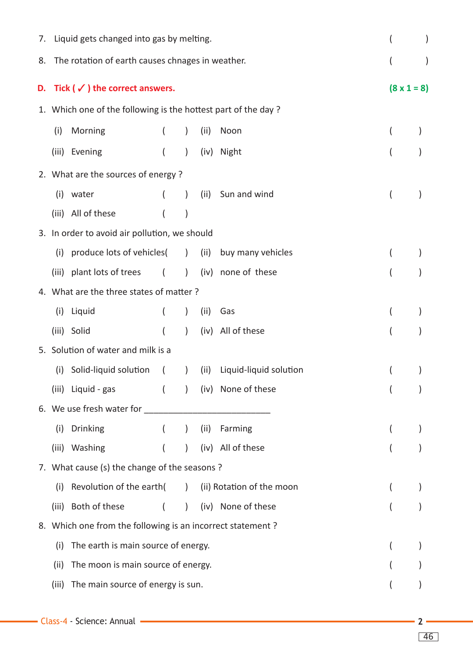|    | 7. Liquid gets changed into gas by melting.      |                                                               |                  |                              |      |                           |  | (                  |  |  |
|----|--------------------------------------------------|---------------------------------------------------------------|------------------|------------------------------|------|---------------------------|--|--------------------|--|--|
| 8. | The rotation of earth causes chnages in weather. |                                                               |                  |                              |      |                           |  | (                  |  |  |
| D. | Tick ( $\checkmark$ ) the correct answers.       |                                                               |                  |                              |      |                           |  | $(8 \times 1 = 8)$ |  |  |
|    |                                                  | 1. Which one of the following is the hottest part of the day? |                  |                              |      |                           |  |                    |  |  |
|    | (i)                                              | Morning                                                       | $\overline{(}$   | $\lambda$                    | (ii) | Noon                      |  |                    |  |  |
|    |                                                  | (iii) Evening                                                 | $\overline{(}$   | $\lambda$                    |      | (iv) Night                |  |                    |  |  |
|    | 2. What are the sources of energy?               |                                                               |                  |                              |      |                           |  |                    |  |  |
|    | (i)                                              | water                                                         | $\left($         | $\rightarrow$                |      | (ii) Sun and wind         |  | $\overline{(}$     |  |  |
|    |                                                  | (iii) All of these                                            | $\overline{(}$   | $\mathcal{E}$                |      |                           |  |                    |  |  |
|    | 3. In order to avoid air pollution, we should    |                                                               |                  |                              |      |                           |  |                    |  |  |
|    | (i)                                              | produce lots of vehicles( ) (ii)                              |                  |                              |      | buy many vehicles         |  |                    |  |  |
|    |                                                  | (iii) plant lots of trees                                     | $\left($         | $\left( \frac{1}{2} \right)$ |      | (iv) none of these        |  | (                  |  |  |
|    | 4. What are the three states of matter?          |                                                               |                  |                              |      |                           |  |                    |  |  |
|    | (i)                                              | Liquid                                                        | $\left($         | $\lambda$                    | (ii) | Gas                       |  | (                  |  |  |
|    |                                                  | (iii) Solid                                                   | $\overline{(}$   | $\left( \right)$             |      | (iv) All of these         |  | (                  |  |  |
|    |                                                  | 5. Solution of water and milk is a                            |                  |                              |      |                           |  |                    |  |  |
|    | (i)                                              | Solid-liquid solution                                         | $\sqrt{2}$       | $\rightarrow$                | (ii) | Liquid-liquid solution    |  | (                  |  |  |
|    |                                                  | (iii) Liquid - gas                                            |                  |                              |      | (iv) None of these        |  |                    |  |  |
|    |                                                  |                                                               |                  |                              |      |                           |  |                    |  |  |
|    | (i)                                              | Drinking                                                      |                  |                              |      | ( ) (ii) Farming          |  |                    |  |  |
|    |                                                  | (iii) Washing                                                 | $\overline{(\ }$ | $\left( \right)$             |      | (iv) All of these         |  |                    |  |  |
|    | 7. What cause (s) the change of the seasons?     |                                                               |                  |                              |      |                           |  |                    |  |  |
|    | (i)                                              | Revolution of the earth(                                      |                  | $\left( \frac{1}{2} \right)$ |      | (ii) Rotation of the moon |  |                    |  |  |
|    | (iii)                                            | Both of these                                                 | $\left($         | $\lambda$                    |      | (iv) None of these        |  |                    |  |  |
|    |                                                  | 8. Which one from the following is an incorrect statement?    |                  |                              |      |                           |  |                    |  |  |
|    | (i)                                              | The earth is main source of energy.                           |                  |                              |      |                           |  |                    |  |  |
|    | (ii)                                             | The moon is main source of energy.                            |                  |                              |      |                           |  |                    |  |  |
|    |                                                  | (iii) The main source of energy is sun.                       |                  |                              |      |                           |  |                    |  |  |
|    |                                                  |                                                               |                  |                              |      |                           |  |                    |  |  |